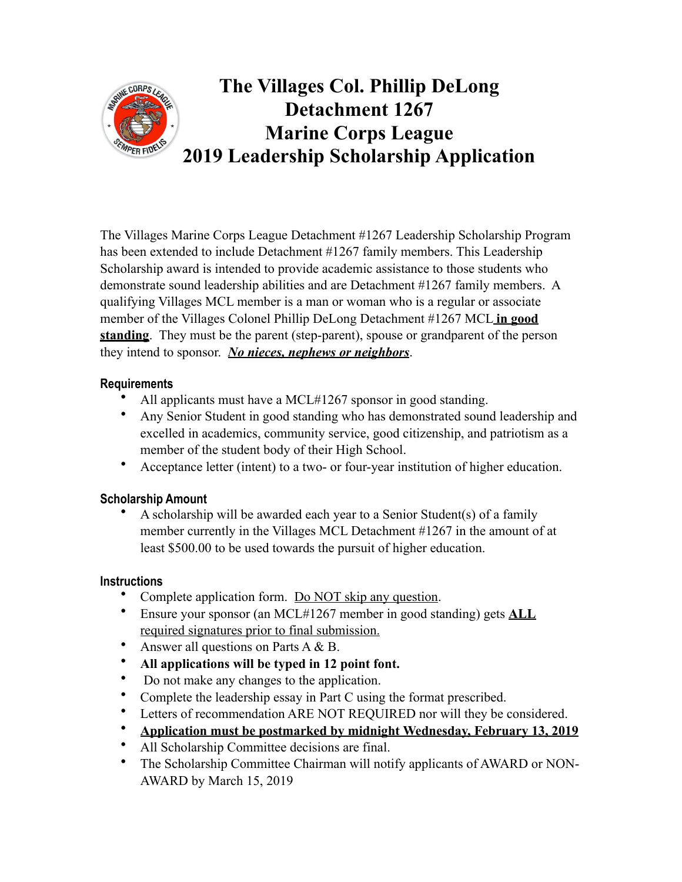

# **The Villages Col. Phillip DeLong Detachment 1267 Marine Corps League 2019 Leadership Scholarship Application**

The Villages Marine Corps League Detachment #1267 Leadership Scholarship Program has been extended to include Detachment #1267 family members. This Leadership Scholarship award is intended to provide academic assistance to those students who demonstrate sound leadership abilities and are Detachment #1267 family members. A qualifying Villages MCL member is a man or woman who is a regular or associate member of the Villages Colonel Phillip DeLong Detachment #1267 MCL **in good standing**. They must be the parent (step-parent), spouse or grandparent of the person they intend to sponsor. *No nieces, nephews or neighbors*.

### **Requirements**

- All applicants must have a MCL#1267 sponsor in good standing.
- Any Senior Student in good standing who has demonstrated sound leadership and excelled in academics, community service, good citizenship, and patriotism as a member of the student body of their High School.
- Acceptance letter (intent) to a two- or four-year institution of higher education.

### **Scholarship Amount**

• A scholarship will be awarded each year to a Senior Student(s) of a family member currently in the Villages MCL Detachment #1267 in the amount of at least \$500.00 to be used towards the pursuit of higher education.

### **Instructions**

- Complete application form. Do NOT skip any question.
- Ensure your sponsor (an MCL#1267 member in good standing) gets **ALL** required signatures prior to final submission.
- Answer all questions on Parts A & B.
- **All applications will be typed in 12 point font.**
- Do not make any changes to the application.
- Complete the leadership essay in Part C using the format prescribed.
- Letters of recommendation ARE NOT REQUIRED nor will they be considered.
- **Application must be postmarked by midnight Wednesday, February 13, 2019**
- All Scholarship Committee decisions are final.
- The Scholarship Committee Chairman will notify applicants of AWARD or NON-AWARD by March 15, 2019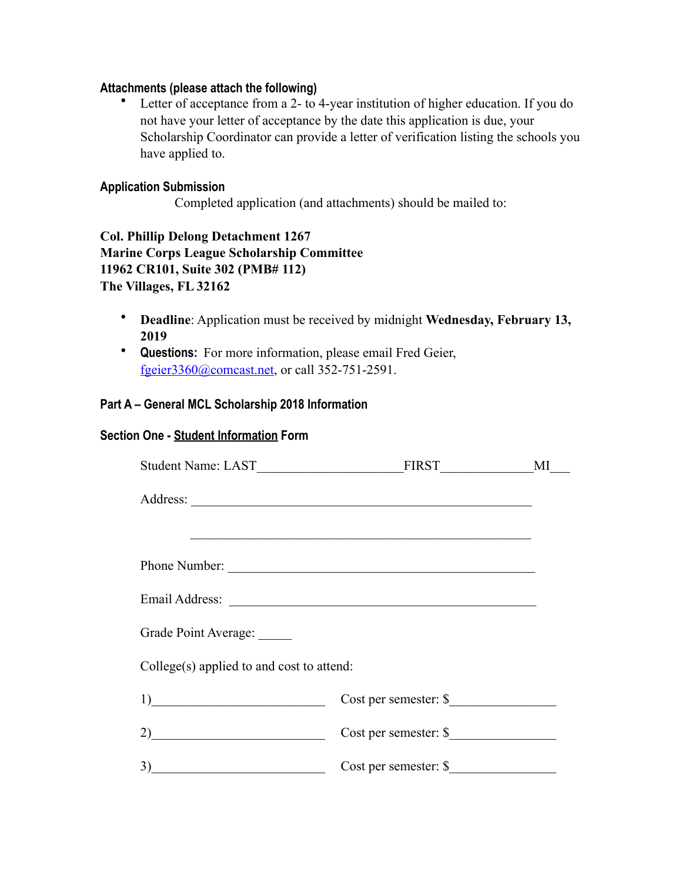#### **Attachments (please attach the following)**

• Letter of acceptance from a 2- to 4-year institution of higher education. If you do not have your letter of acceptance by the date this application is due, your Scholarship Coordinator can provide a letter of verification listing the schools you have applied to.

#### **Application Submission**

Completed application (and attachments) should be mailed to:

**Col. Phillip Delong Detachment 1267 Marine Corps League Scholarship Committee 11962 CR101, Suite 302 (PMB# 112) The Villages, FL 32162**

- **Deadline**: Application must be received by midnight **Wednesday, February 13, 2019**
- **Questions:** For more information, please email Fred Geier, [fgeier3360@comcast.net](mailto:fgeier3360@comcast.net), or call 352-751-2591.

#### **Part A – General MCL Scholarship 2018 Information**

#### **Section One - Student Information Form**

|                                           | Student Name: LAST MI                                                                                                 |  |
|-------------------------------------------|-----------------------------------------------------------------------------------------------------------------------|--|
|                                           |                                                                                                                       |  |
|                                           | <u> 1989 - Johann Harry Harry Harry Harry Harry Harry Harry Harry Harry Harry Harry Harry Harry Harry Harry Harry</u> |  |
|                                           | Phone Number:                                                                                                         |  |
|                                           |                                                                                                                       |  |
| Grade Point Average:                      |                                                                                                                       |  |
| College(s) applied to and cost to attend: |                                                                                                                       |  |
| 1)                                        |                                                                                                                       |  |
| 2)                                        |                                                                                                                       |  |
| 3)                                        | Cost per semester: \$                                                                                                 |  |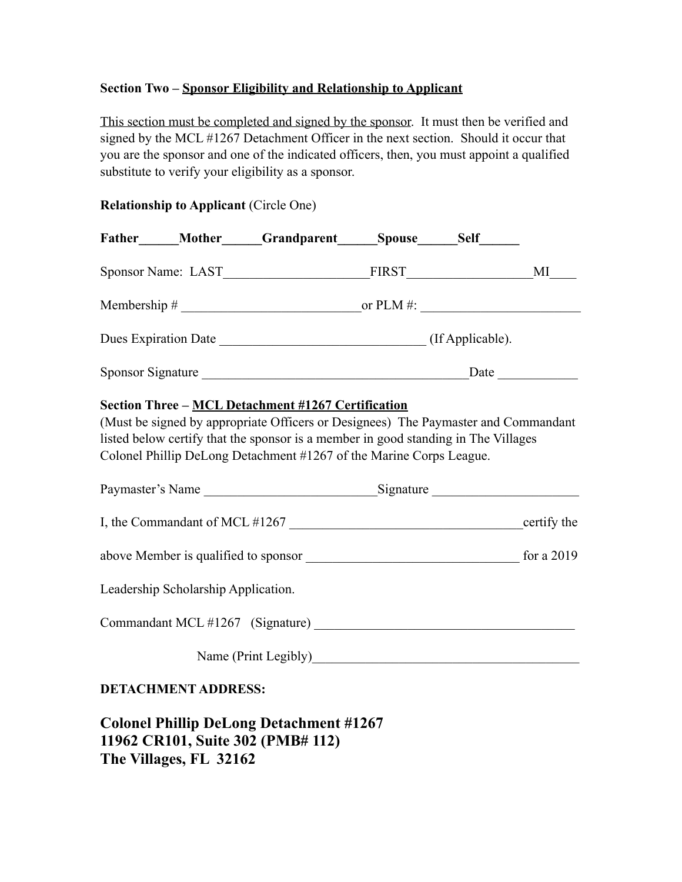### **Section Two – Sponsor Eligibility and Relationship to Applicant**

This section must be completed and signed by the sponsor. It must then be verified and signed by the MCL #1267 Detachment Officer in the next section. Should it occur that you are the sponsor and one of the indicated officers, then, you must appoint a qualified substitute to verify your eligibility as a sponsor.

### **Relationship to Applicant** (Circle One)

|  |                                     | Father Mother Grandparent Spouse Self                                                                                                                                                                                                                                                                 |  |  |    |  |
|--|-------------------------------------|-------------------------------------------------------------------------------------------------------------------------------------------------------------------------------------------------------------------------------------------------------------------------------------------------------|--|--|----|--|
|  |                                     |                                                                                                                                                                                                                                                                                                       |  |  | MI |  |
|  |                                     |                                                                                                                                                                                                                                                                                                       |  |  |    |  |
|  |                                     |                                                                                                                                                                                                                                                                                                       |  |  |    |  |
|  |                                     |                                                                                                                                                                                                                                                                                                       |  |  |    |  |
|  |                                     | Section Three - MCL Detachment #1267 Certification<br>(Must be signed by appropriate Officers or Designees) The Paymaster and Commandant<br>listed below certify that the sponsor is a member in good standing in The Villages<br>Colonel Phillip DeLong Detachment #1267 of the Marine Corps League. |  |  |    |  |
|  |                                     |                                                                                                                                                                                                                                                                                                       |  |  |    |  |
|  |                                     |                                                                                                                                                                                                                                                                                                       |  |  |    |  |
|  |                                     |                                                                                                                                                                                                                                                                                                       |  |  |    |  |
|  | Leadership Scholarship Application. |                                                                                                                                                                                                                                                                                                       |  |  |    |  |
|  |                                     |                                                                                                                                                                                                                                                                                                       |  |  |    |  |
|  |                                     | Name (Print Legibly)                                                                                                                                                                                                                                                                                  |  |  |    |  |
|  | <b>DETACHMENT ADDRESS:</b>          |                                                                                                                                                                                                                                                                                                       |  |  |    |  |

**Colonel Phillip DeLong Detachment #1267 11962 CR101, Suite 302 (PMB# 112) The Villages, FL 32162**